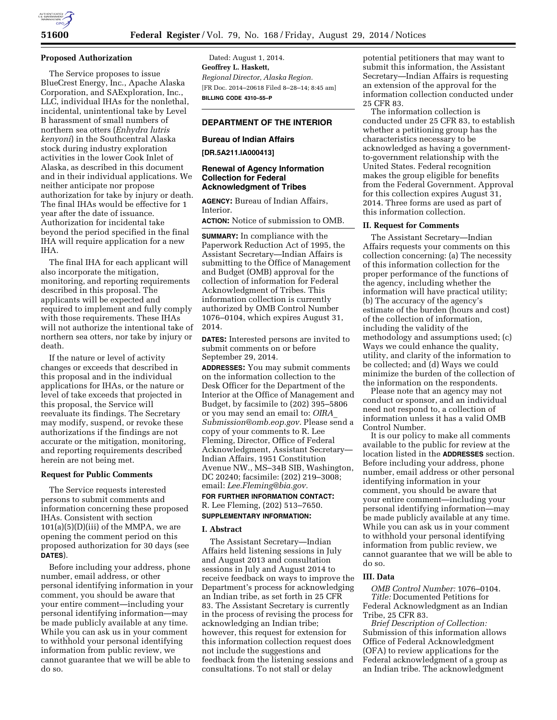

## **Proposed Authorization**

The Service proposes to issue BlueCrest Energy, Inc., Apache Alaska Corporation, and SAExploration, Inc., LLC, individual IHAs for the nonlethal, incidental, unintentional take by Level B harassment of small numbers of northern sea otters (*Enhydra lutris kenyoni*) in the Southcentral Alaska stock during industry exploration activities in the lower Cook Inlet of Alaska, as described in this document and in their individual applications. We neither anticipate nor propose authorization for take by injury or death. The final IHAs would be effective for 1 year after the date of issuance. Authorization for incidental take beyond the period specified in the final IHA will require application for a new IHA.

The final IHA for each applicant will also incorporate the mitigation, monitoring, and reporting requirements described in this proposal. The applicants will be expected and required to implement and fully comply with those requirements. These IHAs will not authorize the intentional take of northern sea otters, nor take by injury or death.

If the nature or level of activity changes or exceeds that described in this proposal and in the individual applications for IHAs, or the nature or level of take exceeds that projected in this proposal, the Service will reevaluate its findings. The Secretary may modify, suspend, or revoke these authorizations if the findings are not accurate or the mitigation, monitoring, and reporting requirements described herein are not being met.

## **Request for Public Comments**

The Service requests interested persons to submit comments and information concerning these proposed IHAs. Consistent with section  $101(a)(5)(D)(iii)$  of the MMPA, we are opening the comment period on this proposed authorization for 30 days (see **DATES**).

Before including your address, phone number, email address, or other personal identifying information in your comment, you should be aware that your entire comment—including your personal identifying information—may be made publicly available at any time. While you can ask us in your comment to withhold your personal identifying information from public review, we cannot guarantee that we will be able to do so.

Dated: August 1, 2014. **Geoffrey L. Haskett,**  *Regional Director, Alaska Region.*  [FR Doc. 2014–20618 Filed 8–28–14; 8:45 am] **BILLING CODE 4310–55–P** 

# **DEPARTMENT OF THE INTERIOR**

# **Bureau of Indian Affairs**

**[DR.5A211.IA000413]** 

## **Renewal of Agency Information Collection for Federal Acknowledgment of Tribes**

**AGENCY:** Bureau of Indian Affairs, Interior.

**ACTION:** Notice of submission to OMB.

**SUMMARY:** In compliance with the Paperwork Reduction Act of 1995, the Assistant Secretary—Indian Affairs is submitting to the Office of Management and Budget (OMB) approval for the collection of information for Federal Acknowledgment of Tribes. This information collection is currently authorized by OMB Control Number 1076–0104, which expires August 31, 2014.

**DATES:** Interested persons are invited to submit comments on or before September 29, 2014.

**ADDRESSES:** You may submit comments on the information collection to the Desk Officer for the Department of the Interior at the Office of Management and Budget, by facsimile to (202) 395–5806 or you may send an email to: *[OIRA](mailto:OIRA_Submission@omb.eop.gov)*\_ *[Submission@omb.eop.gov.](mailto:OIRA_Submission@omb.eop.gov)* Please send a copy of your comments to R. Lee Fleming, Director, Office of Federal Acknowledgment, Assistant Secretary— Indian Affairs, 1951 Constitution Avenue NW., MS–34B SIB, Washington, DC 20240; facsimile: (202) 219–3008; email: *[Lee.Fleming@bia.gov.](mailto:Lee.Fleming@bia.gov)*  **FOR FURTHER INFORMATION CONTACT:** 

R. Lee Fleming, (202) 513–7650. **SUPPLEMENTARY INFORMATION:** 

# **I. Abstract**

The Assistant Secretary—Indian Affairs held listening sessions in July and August 2013 and consultation sessions in July and August 2014 to receive feedback on ways to improve the Department's process for acknowledging an Indian tribe, as set forth in 25 CFR 83. The Assistant Secretary is currently in the process of revising the process for acknowledging an Indian tribe; however, this request for extension for this information collection request does not include the suggestions and feedback from the listening sessions and consultations. To not stall or delay

potential petitioners that may want to submit this information, the Assistant Secretary—Indian Affairs is requesting an extension of the approval for the information collection conducted under 25 CFR 83.

The information collection is conducted under 25 CFR 83, to establish whether a petitioning group has the characteristics necessary to be acknowledged as having a governmentto-government relationship with the United States. Federal recognition makes the group eligible for benefits from the Federal Government. Approval for this collection expires August 31, 2014. Three forms are used as part of this information collection.

# **II. Request for Comments**

The Assistant Secretary—Indian Affairs requests your comments on this collection concerning: (a) The necessity of this information collection for the proper performance of the functions of the agency, including whether the information will have practical utility; (b) The accuracy of the agency's estimate of the burden (hours and cost) of the collection of information, including the validity of the methodology and assumptions used; (c) Ways we could enhance the quality, utility, and clarity of the information to be collected; and (d) Ways we could minimize the burden of the collection of the information on the respondents.

Please note that an agency may not conduct or sponsor, and an individual need not respond to, a collection of information unless it has a valid OMB Control Number.

It is our policy to make all comments available to the public for review at the location listed in the **ADDRESSES** section. Before including your address, phone number, email address or other personal identifying information in your comment, you should be aware that your entire comment—including your personal identifying information—may be made publicly available at any time. While you can ask us in your comment to withhold your personal identifying information from public review, we cannot guarantee that we will be able to do so.

### **III. Data**

*OMB Control Number:* 1076–0104. *Title:* Documented Petitions for Federal Acknowledgment as an Indian Tribe, 25 CFR 83.

*Brief Description of Collection:*  Submission of this information allows Office of Federal Acknowledgment (OFA) to review applications for the Federal acknowledgment of a group as an Indian tribe. The acknowledgment